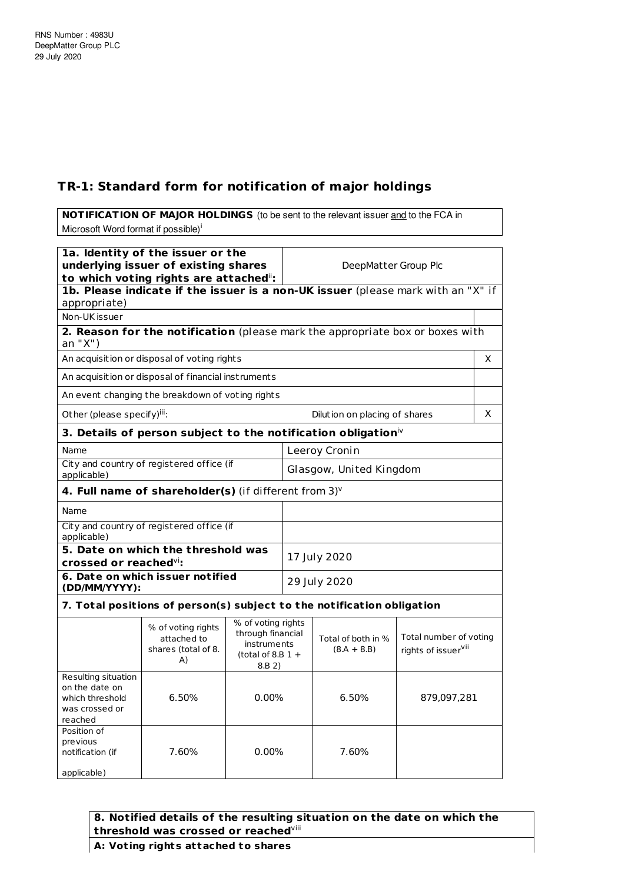## **TR-1: Standard form for notification of major holdings**

**NOTIFICATION OF MAJOR HOLDINGS** (to be sent to the relevant issuer and to the FCA in Microsoft Word format if possible)<sup>i</sup> **1a. Identity of the issuer or the underlying issuer of existing shares** ii**:** DeepMatter Group Plc

|                                                                                       | to which voting rights are attached":<br>1b. Please indicate if the issuer is a non-UK issuer (please mark with an "X" if |                                                                                         |                         |                                     |                                               |    |
|---------------------------------------------------------------------------------------|---------------------------------------------------------------------------------------------------------------------------|-----------------------------------------------------------------------------------------|-------------------------|-------------------------------------|-----------------------------------------------|----|
| appropriate)                                                                          |                                                                                                                           |                                                                                         |                         |                                     |                                               |    |
| Non-UK issuer                                                                         |                                                                                                                           |                                                                                         |                         |                                     |                                               |    |
| an "X")                                                                               | 2. Reason for the notification (please mark the appropriate box or boxes with                                             |                                                                                         |                         |                                     |                                               |    |
|                                                                                       | An acquisition or disposal of voting rights                                                                               |                                                                                         |                         |                                     |                                               | X. |
|                                                                                       | An acquisition or disposal of financial instruments                                                                       |                                                                                         |                         |                                     |                                               |    |
|                                                                                       | An event changing the breakdown of voting rights                                                                          |                                                                                         |                         |                                     |                                               |    |
| Other (please specify)iii:                                                            |                                                                                                                           |                                                                                         |                         | Dilution on placing of shares       |                                               | X  |
|                                                                                       | 3. Details of person subject to the notification obligation $\dot{N}$                                                     |                                                                                         |                         |                                     |                                               |    |
| Name                                                                                  |                                                                                                                           |                                                                                         |                         | Leeroy Cronin                       |                                               |    |
| City and country of registered office (if<br>applicable)                              |                                                                                                                           |                                                                                         | Glasgow, United Kingdom |                                     |                                               |    |
|                                                                                       | 4. Full name of shareholder(s) (if different from 3) <sup>v</sup>                                                         |                                                                                         |                         |                                     |                                               |    |
| Name                                                                                  |                                                                                                                           |                                                                                         |                         |                                     |                                               |    |
| City and country of registered office (if<br>applicable)                              |                                                                                                                           |                                                                                         |                         |                                     |                                               |    |
| 5. Date on which the threshold was<br>crossed or reached <sup>vi</sup> :              |                                                                                                                           |                                                                                         | 17 July 2020            |                                     |                                               |    |
| 6. Date on which issuer notified<br>(DD/MM/YYYY):                                     |                                                                                                                           |                                                                                         | 29 July 2020            |                                     |                                               |    |
|                                                                                       | 7. Total positions of person(s) subject to the notification obligation                                                    |                                                                                         |                         |                                     |                                               |    |
|                                                                                       | % of voting rights<br>attached to<br>shares (total of 8.<br>A)                                                            | % of voting rights<br>through financial<br>instruments<br>(total of 8.B $1 +$<br>8.B 2) |                         | Total of both in %<br>$(8.A + 8.B)$ | Total number of voting<br>rights of issuervii |    |
| Resulting situation<br>on the date on<br>which threshold<br>was crossed or<br>reached | 6.50%                                                                                                                     | 0.00%                                                                                   |                         | 6.50%                               | 879,097,281                                   |    |
| Position of<br>previous<br>notification (if                                           | 7.60%                                                                                                                     | 0.00%                                                                                   |                         | 7.60%                               |                                               |    |

## **8. Notified details of the resulting situation on the date on which the threshold was crossed or reached** viii

**A: Vot ing rights at tached to shares**

applicable)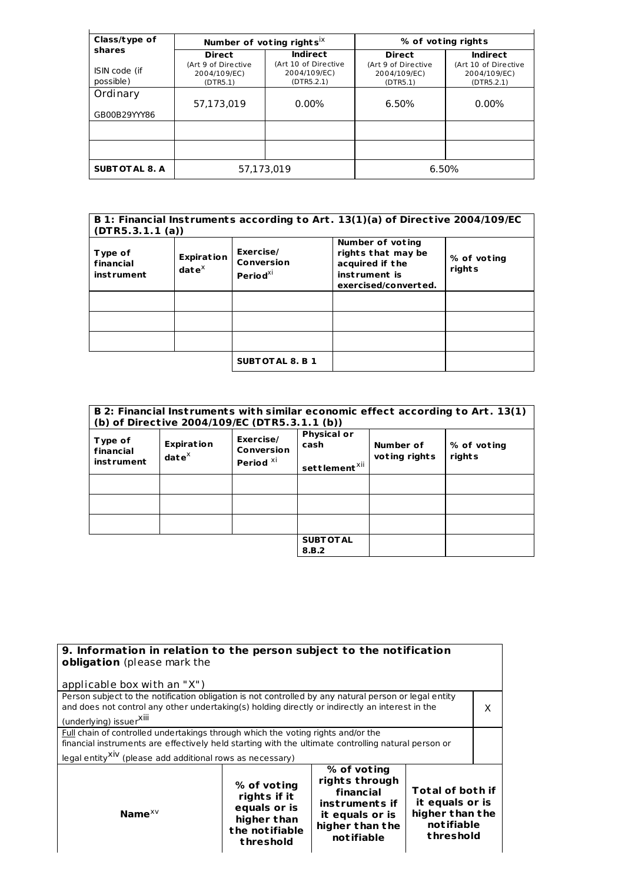| Class/type of              |                                                 | Number of voting rights <sup>1X</sup>              | % of voting rights                              |                                                    |  |
|----------------------------|-------------------------------------------------|----------------------------------------------------|-------------------------------------------------|----------------------------------------------------|--|
| shares                     | <b>Direct</b>                                   | <b>Indirect</b>                                    | <b>Direct</b>                                   | <b>Indirect</b>                                    |  |
| ISIN code (if<br>possible) | (Art 9 of Directive<br>2004/109/EC)<br>(DTR5.1) | (Art 10 of Directive<br>2004/109/EC)<br>(DTR5.2.1) | (Art 9 of Directive<br>2004/109/EC)<br>(DTR5.1) | (Art 10 of Directive<br>2004/109/EC)<br>(DTR5.2.1) |  |
| Ordinary                   | 57,173,019                                      | $0.00\%$                                           | 6.50%                                           | $0.00\%$                                           |  |
| GB00B29YYY86               |                                                 |                                                    |                                                 |                                                    |  |
|                            |                                                 |                                                    |                                                 |                                                    |  |
|                            |                                                 |                                                    |                                                 |                                                    |  |
| <b>SUBTOTAL 8. A</b>       | 57.173.019                                      |                                                    |                                                 | 6.50%                                              |  |

| B 1: Financial Instruments according to Art. 13(1)(a) of Directive 2004/109/EC<br>(DTR5.3.1.1(a)) |                                             |                                                 |                                                                                                    |                       |
|---------------------------------------------------------------------------------------------------|---------------------------------------------|-------------------------------------------------|----------------------------------------------------------------------------------------------------|-----------------------|
| Type of<br>financial<br>instrument                                                                | <b>Expiration</b><br>$\mathbf{date}^\times$ | Exercise/<br>Conversion<br>Period <sup>xi</sup> | Number of voting<br>rights that may be<br>acquired if the<br>instrument is<br>exercised/converted. | % of voting<br>rights |
|                                                                                                   |                                             |                                                 |                                                                                                    |                       |
|                                                                                                   |                                             |                                                 |                                                                                                    |                       |
|                                                                                                   |                                             |                                                 |                                                                                                    |                       |
|                                                                                                   |                                             | <b>SUBTOTAL 8. B 1</b>                          |                                                                                                    |                       |

|                                    |                                      | (b) of Directive 2004/109/EC (DTR5.3.1.1 (b))   |                                                         |                            | B 2: Financial Instruments with similar economic effect according to Art. 13(1) |
|------------------------------------|--------------------------------------|-------------------------------------------------|---------------------------------------------------------|----------------------------|---------------------------------------------------------------------------------|
| Type of<br>financial<br>instrument | <b>Expiration</b><br>$date^{\times}$ | Exercise/<br>Conversion<br>Period <sup>XI</sup> | <b>Physical or</b><br>cash<br>settlement <sup>xii</sup> | Number of<br>voting rights | % of voting<br>rights                                                           |
|                                    |                                      |                                                 |                                                         |                            |                                                                                 |
|                                    |                                      |                                                 |                                                         |                            |                                                                                 |
|                                    |                                      |                                                 |                                                         |                            |                                                                                 |
|                                    |                                      |                                                 | <b>SUBT OT AL</b><br>8.B.2                              |                            |                                                                                 |

| 9. Information in relation to the person subject to the notification<br>obligation (please mark the                                                                                                                                                                                                                            |  |  |   |  |
|--------------------------------------------------------------------------------------------------------------------------------------------------------------------------------------------------------------------------------------------------------------------------------------------------------------------------------|--|--|---|--|
| applicable box with an "X")                                                                                                                                                                                                                                                                                                    |  |  |   |  |
| Person subject to the notification obligation is not controlled by any natural person or legal entity<br>and does not control any other undertaking(s) holding directly or indirectly an interest in the<br>(underlying) issuerXIII                                                                                            |  |  | x |  |
| Full chain of controlled undertakings through which the voting rights and/or the<br>financial instruments are effectively held starting with the ultimate controlling natural person or<br>legal entity <sup>XIV</sup> (please add additional rows as necessary)                                                               |  |  |   |  |
| % of voting<br>rights through<br>% of voting<br><b>Total of both if</b><br>financial<br>rights if it<br>it equals or is<br>instruments if<br>equals or is<br>higher than the<br>Name $^{x}{}^{y}$<br>it equals or is<br>higher than<br>notifiable<br>higher than the<br>the notifiable<br>threshold<br>notifiable<br>threshold |  |  |   |  |